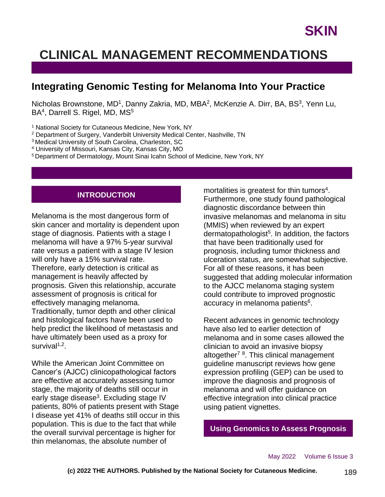## **CLINICAL MANAGEMENT RECOMMENDATIONS**

## **Integrating Genomic Testing for Melanoma Into Your Practice**

Nicholas Brownstone, MD<sup>1</sup>, Danny Zakria, MD, MBA<sup>2</sup>, McKenzie A. Dirr, BA, BS<sup>3</sup>, Yenn Lu, BA<sup>4</sup>, Darrell S. Rigel, MD, MS<sup>5</sup>

<sup>1</sup> National Society for Cutaneous Medicine, New York, NY

- <sup>2</sup> Department of Surgery, Vanderbilt University Medical Center, Nashville, TN
- <sup>3</sup> Medical University of South Carolina, Charleston, SC
- <sup>4</sup> University of Missouri, Kansas City, Kansas City, MO

<sup>5</sup> Department of Dermatology, Mount Sinai Icahn School of Medicine, New York, NY

### **INTRODUCTION**

Melanoma is the most dangerous form of skin cancer and mortality is dependent upon stage of diagnosis. Patients with a stage I melanoma will have a 97% 5-year survival rate versus a patient with a stage IV lesion will only have a 15% survival rate. Therefore, early detection is critical as management is heavily affected by prognosis. Given this relationship, accurate assessment of prognosis is critical for effectively managing melanoma. Traditionally, tumor depth and other clinical and histological factors have been used to help predict the likelihood of metastasis and have ultimately been used as a proxy for survival<sup>1,2</sup>.

While the American Joint Committee on Cancer's (AJCC) clinicopathological factors are effective at accurately assessing tumor stage, the majority of deaths still occur in early stage disease<sup>3</sup>. Excluding stage IV patients, 80% of patients present with Stage I disease yet 41% of deaths still occur in this population. This is due to the fact that while the overall survival percentage is higher for thin melanomas, the absolute number of

mortalities is greatest for thin tumors<sup>4</sup>. Furthermore, one study found pathological diagnostic discordance between thin invasive melanomas and melanoma in situ (MMIS) when reviewed by an expert dermatopathologist<sup>5</sup>. In addition, the factors that have been traditionally used for prognosis, including tumor thickness and ulceration status, are somewhat subjective. For all of these reasons, it has been suggested that adding molecular information to the AJCC melanoma staging system could contribute to improved prognostic accuracy in melanoma patients<sup>6</sup>.

Recent advances in genomic technology have also led to earlier detection of melanoma and in some cases allowed the clinician to avoid an invasive biopsy altogether<sup>78</sup>. This clinical management guideline manuscript reviews how gene expression profiling (GEP) can be used to improve the diagnosis and prognosis of melanoma and will offer guidance on effective integration into clinical practice using patient vignettes.

**Using Genomics to Assess Prognosis**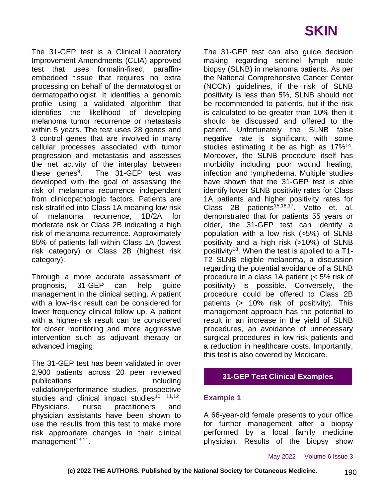The 31-GEP test is a Clinical Laboratory Improvement Amendments (CLIA) approved test that uses formalin-fixed, paraffinembedded tissue that requires no extra processing on behalf of the dermatologist or dermatopathologist. It identifies a genomic profile using a validated algorithm that identifies the likelihood of developing melanoma tumor recurrence or metastasis within 5 years. The test uses 28 genes and 3 control genes that are involved in many cellular processes associated with tumor progression and metastasis and assesses the net activity of the interplay between these genes $9$ . . The 31-GEP test was developed with the goal of assessing the risk of melanoma recurrence independent from clinicopathologic factors. Patients are risk stratified into Class 1A meaning low risk of melanoma recurrence, 1B/2A for moderate risk or Class 2B indicating a high risk of melanoma recurrence. Approximately 85% of patients fall within Class 1A (lowest risk category) or Class 2B (highest risk category).

Through a more accurate assessment of prognosis, 31-GEP can help guide management in the clinical setting. A patient with a low-risk result can be considered for lower frequency clinical follow up. A patient with a higher-risk result can be considered for closer monitoring and more aggressive intervention such as adjuvant therapy or advanced imaging.

The 31-GEP test has been validated in over 2,900 patients across 20 peer reviewed publications including validation/performance studies, prospective studies and clinical impact studies<sup>10, 11,12</sup>. Physicians, nurse practitioners and physician assistants have been shown to use the results from this test to make more risk appropriate changes in their clinical management<sup>13,11</sup>.

The 31-GEP test can also guide decision making regarding sentinel lymph node biopsy (SLNB) in melanoma patients. As per the National Comprehensive Cancer Center (NCCN) guidelines, if the risk of SLNB positivity is less than 5%, SLNB should not be recommended to patients, but if the risk is calculated to be greater than 10% then it should be discussed and offered to the patient. Unfortunately the SLNB false negative rate is significant, with some studies estimating it be as high as 17%<sup>14</sup>. Moreover, the SLNB procedure itself has morbidity including poor wound healing, infection and lymphedema. Multiple studies have shown that the 31-GEP test is able identify lower SLNB positivity rates for Class 1A patients and higher positivity rates for Class 2B patients<sup>15,16,17</sup>. Vetto et. al. demonstrated that for patients 55 years or older, the 31-GEP test can identify a population with a low risk (<5%) of SLNB positivity and a high risk (>10%) of SLNB positivity<sup>18</sup>. When the test is applied to a T1- T2 SLNB eligible melanoma, a discussion regarding the potential avoidance of a SLNB procedure in a class 1A patient (< 5% risk of positivity) is possible. Conversely, the procedure could be offered to Class 2B patients (> 10% risk of positivity). This management approach has the potential to result in an increase in the yield of SLNB procedures, an avoidance of unnecessary surgical procedures in low-risk patients and a reduction in healthcare costs. Importantly, this test is also covered by Medicare.

## **31-GEP Test Clinical Examples**

#### **Example 1**

A 66-year-old female presents to your office for further management after a biopsy performed by a local family medicine physician. Results of the biopsy show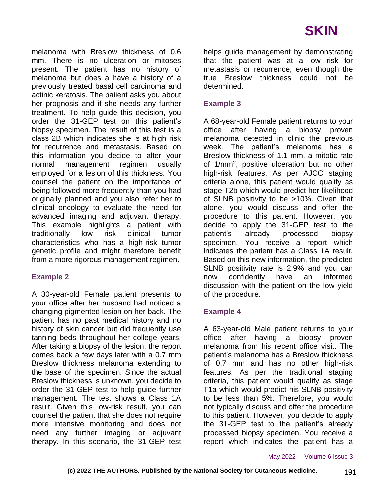melanoma with Breslow thickness of 0.6 mm. There is no ulceration or mitoses present. The patient has no history of melanoma but does a have a history of a previously treated basal cell carcinoma and actinic keratosis. The patient asks you about her prognosis and if she needs any further treatment. To help guide this decision, you order the 31-GEP test on this patient's biopsy specimen. The result of this test is a class 2B which indicates she is at high risk for recurrence and metastasis. Based on this information you decide to alter your normal management regimen usually employed for a lesion of this thickness. You counsel the patient on the importance of being followed more frequently than you had originally planned and you also refer her to clinical oncology to evaluate the need for advanced imaging and adjuvant therapy. This example highlights a patient with traditionally low risk clinical tumor characteristics who has a high-risk tumor genetic profile and might therefore benefit from a more rigorous management regimen.

## **Example 2**

A 30-year-old Female patient presents to your office after her husband had noticed a changing pigmented lesion on her back. The patient has no past medical history and no history of skin cancer but did frequently use tanning beds throughout her college years. After taking a biopsy of the lesion, the report comes back a few days later with a 0.7 mm Breslow thickness melanoma extending to the base of the specimen. Since the actual Breslow thickness is unknown, you decide to order the 31-GEP test to help guide further management. The test shows a Class 1A result. Given this low-risk result, you can counsel the patient that she does not require more intensive monitoring and does not need any further imaging or adjuvant therapy. In this scenario, the 31-GEP test helps guide management by demonstrating that the patient was at a low risk for metastasis or recurrence, even though the true Breslow thickness could not be determined.

## **Example 3**

A 68-year-old Female patient returns to your office after having a biopsy proven melanoma detected in clinic the previous week. The patient's melanoma has a Breslow thickness of 1.1 mm, a mitotic rate of 1/mm<sup>2</sup>, positive ulceration but no other high-risk features. As per AJCC staging criteria alone, this patient would qualify as stage T2b which would predict her likelihood of SLNB positivity to be >10%. Given that alone, you would discuss and offer the procedure to this patient. However, you decide to apply the 31-GEP test to the patient's already processed biopsy specimen. You receive a report which indicates the patient has a Class 1A result. Based on this new information, the predicted SLNB positivity rate is 2.9% and you can now confidently have an informed discussion with the patient on the low yield of the procedure.

#### **Example 4**

A 63-year-old Male patient returns to your office after having a biopsy proven melanoma from his recent office visit. The patient's melanoma has a Breslow thickness of 0.7 mm and has no other high-risk features. As per the traditional staging criteria, this patient would qualify as stage T1a which would predict his SLNB positivity to be less than 5%. Therefore, you would not typically discuss and offer the procedure to this patient. However, you decide to apply the 31-GEP test to the patient's already processed biopsy specimen. You receive a report which indicates the patient has a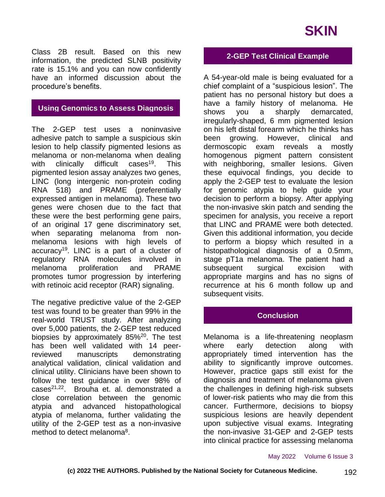# **SKIN**

Class 2B result. Based on this new information, the predicted SLNB positivity rate is 15.1% and you can now confidently have an informed discussion about the procedure's benefits.

## **Using Genomics to Assess Diagnosis**

The 2-GEP test uses a noninvasive adhesive patch to sample a suspicious skin lesion to help classify pigmented lesions as melanoma or non-melanoma when dealing with clinically difficult cases<sup>19</sup>. This pigmented lesion assay analyzes two genes, LINC (long intergenic non-protein coding RNA 518) and PRAME (preferentially expressed antigen in melanoma). These two genes were chosen due to the fact that these were the best performing gene pairs, of an original 17 gene discriminatory set, when separating melanoma from nonmelanoma lesions with high levels of  $accuracy<sup>19</sup>$ . LINC is a part of a cluster of regulatory RNA molecules involved in melanoma proliferation and PRAME promotes tumor progression by interfering with retinoic acid receptor (RAR) signaling.

The negative predictive value of the 2-GEP test was found to be greater than 99% in the real-world TRUST study. After analyzing over 5,000 patients, the 2-GEP test reduced biopsies by approximately 85%<sup>20</sup>. The test has been well validated with 14 peerreviewed manuscripts demonstrating analytical validation, clinical validation and clinical utility. Clinicians have been shown to follow the test guidance in over 98% of cases21,22. Brouha et. al. demonstrated a close correlation between the genomic atypia and advanced histopathological atypia of melanoma, further validating the utility of the 2-GEP test as a non-invasive method to detect melanoma<sup>8</sup>.

### **2-GEP Test Clinical Example**

A 54-year-old male is being evaluated for a chief complaint of a "suspicious lesion". The patient has no personal history but does a have a family history of melanoma. He shows you a sharply demarcated, irregularly-shaped, 6 mm pigmented lesion on his left distal forearm which he thinks has been growing. However, clinical and dermoscopic exam reveals a mostly homogenous pigment pattern consistent with neighboring, smaller lesions. Given these equivocal findings, you decide to apply the 2-GEP test to evaluate the lesion for genomic atypia to help guide your decision to perform a biopsy. After applying the non-invasive skin patch and sending the specimen for analysis, you receive a report that LINC and PRAME were both detected. Given this additional information, you decide to perform a biopsy which resulted in a histopathological diagnosis of a 0.5mm, stage pT1a melanoma. The patient had a subsequent surgical excision with appropriate margins and has no signs of recurrence at his 6 month follow up and subsequent visits.

## **Conclusion**

Melanoma is a life-threatening neoplasm where early detection along with appropriately timed intervention has the ability to significantly improve outcomes. However, practice gaps still exist for the diagnosis and treatment of melanoma given the challenges in defining high-risk subsets of lower-risk patients who may die from this cancer. Furthermore, decisions to biopsy suspicious lesions are heavily dependent upon subjective visual exams. Integrating the non-invasive 31-GEP and 2-GEP tests into clinical practice for assessing melanoma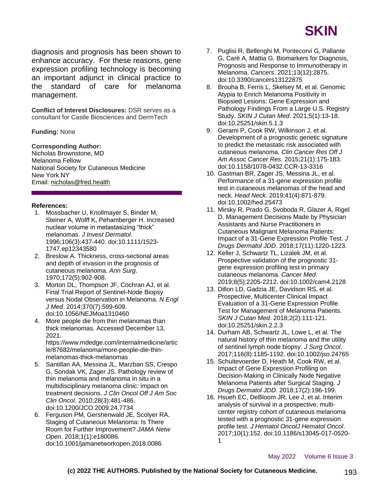

diagnosis and prognosis has been shown to enhance accuracy. For these reasons, gene expression profiling technology is becoming an important adjunct in clinical practice to the standard of care for melanoma management.

**Conflict of Interest Disclosures:** DSR serves as a consultant for Castle Biosciences and DermTech

#### **Funding:** None

#### **Corresponding Author:**

Nicholas Brownstone, MD Melanoma Fellow National Society for Cutaneous Medicine New York NY Email: nicholas@fred.health

#### **References:**

- 1. Mossbacher U, Knollmayer S, Binder M, Steiner A, Wolff K, Pehamberger H. Increased nuclear volume in metastasizing "thick" melanomas. *J Invest Dermatol*. 1996;106(3):437-440. doi:10.1111/1523- 1747.ep12343580
- 2. Breslow A. Thickness, cross-sectional areas and depth of invasion in the prognosis of cutaneous melanoma. *Ann Surg*. 1970;172(5):902-908.
- 3. Morton DL, Thompson JF, Cochran AJ, et al. Final Trial Report of Sentinel-Node Biopsy versus Nodal Observation in Melanoma. *N Engl J Med*. 2014;370(7):599-609. doi:10.1056/NEJMoa1310460
- 4. More people die from thin melanomas than thick melanomas. Accessed December 13, 2021.

https://www.mdedge.com/internalmedicine/artic le/87682/melanoma/more-people-die-thinmelanomas-thick-melanomas

- 5. Santillan AA, Messina JL, Marzban SS, Crespo G, Sondak VK, Zager JS. Pathology review of thin melanoma and melanoma in situ in a multidisciplinary melanoma clinic: impact on treatment decisions. *J Clin Oncol Off J Am Soc Clin Oncol*. 2010;28(3):481-486. doi:10.1200/JCO.2009.24.7734
- 6. Ferguson PM, Gershenwald JE, Scolyer RA. Staging of Cutaneous Melanoma: Is There Room for Further Improvement? *JAMA Netw Open*. 2018;1(1):e180086. doi:10.1001/jamanetworkopen.2018.0086
- 7. Puglisi R, Bellenghi M, Pontecorvi G, Pallante G, Carè A, Mattia G. Biomarkers for Diagnosis, Prognosis and Response to Immunotherapy in Melanoma. *Cancers*. 2021;13(12):2875. doi:10.3390/cancers13122875
- 8. Brouha B, Ferris L, Skelsey M, et al. Genomic Atypia to Enrich Melanoma Positivity in Biopsied Lesions: Gene Expression and Pathology Findings From a Large U.S. Registry Study. *SKIN J Cutan Med*. 2021;5(1):13-18. doi:10.25251/skin.5.1.3
- 9. Gerami P, Cook RW, Wilkinson J, et al. Development of a prognostic genetic signature to predict the metastatic risk associated with cutaneous melanoma. *Clin Cancer Res Off J Am Assoc Cancer Res*. 2015;21(1):175-183. doi:10.1158/1078-0432.CCR-13-3316
- 10. Gastman BR, Zager JS, Messina JL, et al. Performance of a 31-gene expression profile test in cutaneous melanomas of the head and neck. *Head Neck*. 2019;41(4):871-879. doi:10.1002/hed.25473
- 11. Mirsky R, Prado G, Svoboda R, Glazer A, Rigel D. Management Decisions Made by Physician Assistants and Nurse Practitioners in Cutaneous Malignant Melanoma Patients: Impact of a 31-Gene Expression Profile Test. *J Drugs Dermatol JDD*. 2018;17(11):1220-1223.
- 12. Keller J, Schwartz TL, Lizalek JM, et al. Prospective validation of the prognostic 31 gene expression profiling test in primary cutaneous melanoma. *Cancer Med*. 2019;8(5):2205-2212. doi:10.1002/cam4.2128
- 13. Dillon LD, Gadzia JE, Davidson RS, et al. Prospective, Multicenter Clinical Impact Evaluation of a 31-Gene Expression Profile Test for Management of Melanoma Patients. *SKIN J Cutan Med*. 2018;2(2):111-121. doi:10.25251/skin.2.2.3
- 14. Durham AB, Schwartz JL, Lowe L, et al. The natural history of thin melanoma and the utility of sentinel lymph node biopsy. *J Surg Oncol*. 2017;116(8):1185-1192. doi:10.1002/jso.24765
- 15. Schuitevoerder D, Heath M, Cook RW, et al. Impact of Gene Expression Profiling on Decision-Making in Clinically Node Negative Melanoma Patients after Surgical Staging. *J Drugs Dermatol JDD*. 2018;17(2):196-199.
- 16. Hsueh EC, DeBloom JR, Lee J, et al. Interim analysis of survival in a prospective, multicenter registry cohort of cutaneous melanoma tested with a prognostic 31-gene expression profile test. *J Hematol OncolJ Hematol Oncol*. 2017;10(1):152. doi:10.1186/s13045-017-0520- 1